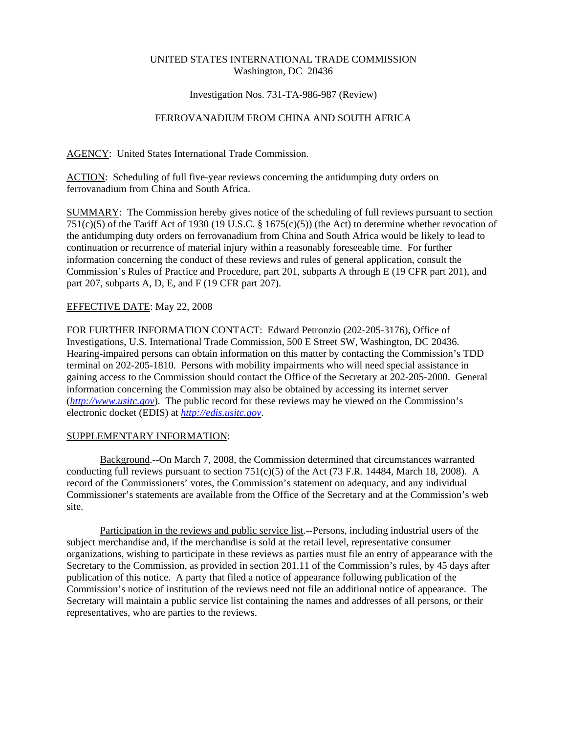## UNITED STATES INTERNATIONAL TRADE COMMISSION Washington, DC 20436

#### Investigation Nos. 731-TA-986-987 (Review)

# FERROVANADIUM FROM CHINA AND SOUTH AFRICA

AGENCY: United States International Trade Commission.

ACTION: Scheduling of full five-year reviews concerning the antidumping duty orders on ferrovanadium from China and South Africa.

SUMMARY: The Commission hereby gives notice of the scheduling of full reviews pursuant to section 751(c)(5) of the Tariff Act of 1930 (19 U.S.C. § 1675(c)(5)) (the Act) to determine whether revocation of the antidumping duty orders on ferrovanadium from China and South Africa would be likely to lead to continuation or recurrence of material injury within a reasonably foreseeable time. For further information concerning the conduct of these reviews and rules of general application, consult the Commission's Rules of Practice and Procedure, part 201, subparts A through E (19 CFR part 201), and part 207, subparts A, D, E, and F (19 CFR part 207).

## EFFECTIVE DATE: May 22, 2008

FOR FURTHER INFORMATION CONTACT: Edward Petronzio (202-205-3176), Office of Investigations, U.S. International Trade Commission, 500 E Street SW, Washington, DC 20436. Hearing-impaired persons can obtain information on this matter by contacting the Commission's TDD terminal on 202-205-1810. Persons with mobility impairments who will need special assistance in gaining access to the Commission should contact the Office of the Secretary at 202-205-2000. General information concerning the Commission may also be obtained by accessing its internet server (*http://www.usitc.gov*). The public record for these reviews may be viewed on the Commission's electronic docket (EDIS) at *http://edis.usitc.gov*.

## SUPPLEMENTARY INFORMATION:

Background.--On March 7, 2008, the Commission determined that circumstances warranted conducting full reviews pursuant to section 751(c)(5) of the Act (73 F.R. 14484, March 18, 2008). A record of the Commissioners' votes, the Commission's statement on adequacy, and any individual Commissioner's statements are available from the Office of the Secretary and at the Commission's web site.

Participation in the reviews and public service list.--Persons, including industrial users of the subject merchandise and, if the merchandise is sold at the retail level, representative consumer organizations, wishing to participate in these reviews as parties must file an entry of appearance with the Secretary to the Commission, as provided in section 201.11 of the Commission's rules, by 45 days after publication of this notice. A party that filed a notice of appearance following publication of the Commission's notice of institution of the reviews need not file an additional notice of appearance. The Secretary will maintain a public service list containing the names and addresses of all persons, or their representatives, who are parties to the reviews.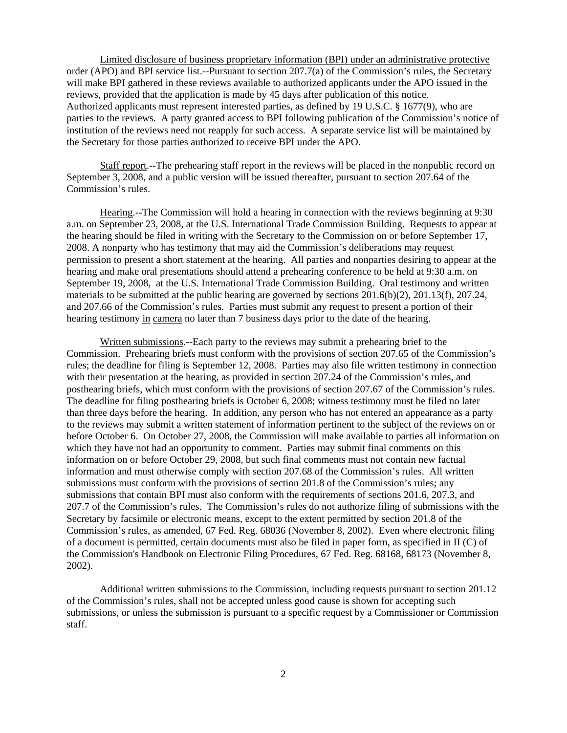Limited disclosure of business proprietary information (BPI) under an administrative protective order (APO) and BPI service list.--Pursuant to section 207.7(a) of the Commission's rules, the Secretary will make BPI gathered in these reviews available to authorized applicants under the APO issued in the reviews, provided that the application is made by 45 days after publication of this notice. Authorized applicants must represent interested parties, as defined by 19 U.S.C. § 1677(9), who are parties to the reviews. A party granted access to BPI following publication of the Commission's notice of institution of the reviews need not reapply for such access. A separate service list will be maintained by the Secretary for those parties authorized to receive BPI under the APO.

Staff report.--The prehearing staff report in the reviews will be placed in the nonpublic record on September 3, 2008, and a public version will be issued thereafter, pursuant to section 207.64 of the Commission's rules.

Hearing.--The Commission will hold a hearing in connection with the reviews beginning at 9:30 a.m. on September 23, 2008, at the U.S. International Trade Commission Building. Requests to appear at the hearing should be filed in writing with the Secretary to the Commission on or before September 17, 2008. A nonparty who has testimony that may aid the Commission's deliberations may request permission to present a short statement at the hearing. All parties and nonparties desiring to appear at the hearing and make oral presentations should attend a prehearing conference to be held at 9:30 a.m. on September 19, 2008, at the U.S. International Trade Commission Building. Oral testimony and written materials to be submitted at the public hearing are governed by sections 201.6(b)(2), 201.13(f), 207.24, and 207.66 of the Commission's rules. Parties must submit any request to present a portion of their hearing testimony in camera no later than 7 business days prior to the date of the hearing.

Written submissions.--Each party to the reviews may submit a prehearing brief to the Commission. Prehearing briefs must conform with the provisions of section 207.65 of the Commission's rules; the deadline for filing is September 12, 2008. Parties may also file written testimony in connection with their presentation at the hearing, as provided in section 207.24 of the Commission's rules, and posthearing briefs, which must conform with the provisions of section 207.67 of the Commission's rules. The deadline for filing posthearing briefs is October 6, 2008; witness testimony must be filed no later than three days before the hearing. In addition, any person who has not entered an appearance as a party to the reviews may submit a written statement of information pertinent to the subject of the reviews on or before October 6. On October 27, 2008, the Commission will make available to parties all information on which they have not had an opportunity to comment. Parties may submit final comments on this information on or before October 29, 2008, but such final comments must not contain new factual information and must otherwise comply with section 207.68 of the Commission's rules. All written submissions must conform with the provisions of section 201.8 of the Commission's rules; any submissions that contain BPI must also conform with the requirements of sections 201.6, 207.3, and 207.7 of the Commission's rules. The Commission's rules do not authorize filing of submissions with the Secretary by facsimile or electronic means, except to the extent permitted by section 201.8 of the Commission's rules, as amended, 67 Fed. Reg. 68036 (November 8, 2002). Even where electronic filing of a document is permitted, certain documents must also be filed in paper form, as specified in II (C) of the Commission's Handbook on Electronic Filing Procedures, 67 Fed. Reg. 68168, 68173 (November 8, 2002).

Additional written submissions to the Commission, including requests pursuant to section 201.12 of the Commission's rules, shall not be accepted unless good cause is shown for accepting such submissions, or unless the submission is pursuant to a specific request by a Commissioner or Commission staff.